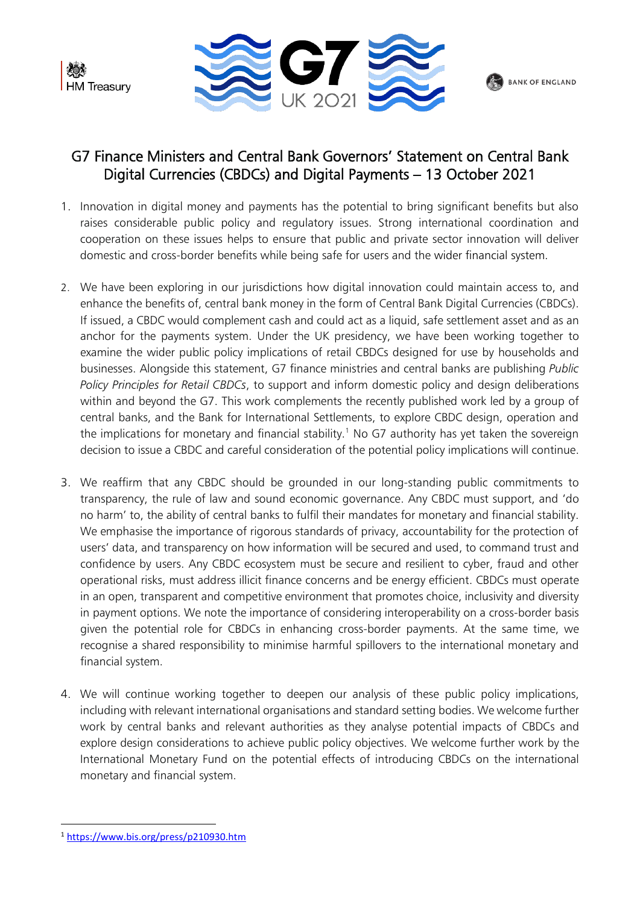



## BANK OF ENGLAND

## G7 Finance Ministers and Central Bank Governors' Statement on Central Bank Digital Currencies (CBDCs) and Digital Payments – 13 October 2021

- 1. Innovation in digital money and payments has the potential to bring significant benefits but also raises considerable public policy and regulatory issues. Strong international coordination and cooperation on these issues helps to ensure that public and private sector innovation will deliver domestic and cross-border benefits while being safe for users and the wider financial system.
- 2. We have been exploring in our jurisdictions how digital innovation could maintain access to, and enhance the benefits of, central bank money in the form of Central Bank Digital Currencies (CBDCs). If issued, a CBDC would complement cash and could act as a liquid, safe settlement asset and as an anchor for the payments system. Under the UK presidency, we have been working together to examine the wider public policy implications of retail CBDCs designed for use by households and businesses. Alongside this statement, G7 finance ministries and central banks are publishing *Public Policy Principles for Retail CBDCs*, to support and inform domestic policy and design deliberations within and beyond the G7. This work complements the recently published work led by a group of central banks, and the Bank for International Settlements, to explore CBDC design, operation and the implications for monetary and financial stability.<sup>1</sup> No G7 authority has yet taken the sovereign decision to issue a CBDC and careful consideration of the potential policy implications will continue.
- 3. We reaffirm that any CBDC should be grounded in our long-standing public commitments to transparency, the rule of law and sound economic governance. Any CBDC must support, and 'do no harm' to, the ability of central banks to fulfil their mandates for monetary and financial stability. We emphasise the importance of rigorous standards of privacy, accountability for the protection of users' data, and transparency on how information will be secured and used, to command trust and confidence by users. Any CBDC ecosystem must be secure and resilient to cyber, fraud and other operational risks, must address illicit finance concerns and be energy efficient. CBDCs must operate in an open, transparent and competitive environment that promotes choice, inclusivity and diversity in payment options. We note the importance of considering interoperability on a cross-border basis given the potential role for CBDCs in enhancing cross-border payments. At the same time, we recognise a shared responsibility to minimise harmful spillovers to the international monetary and financial system.
- 4. We will continue working together to deepen our analysis of these public policy implications, including with relevant international organisations and standard setting bodies. We welcome further work by central banks and relevant authorities as they analyse potential impacts of CBDCs and explore design considerations to achieve public policy objectives. We welcome further work by the International Monetary Fund on the potential effects of introducing CBDCs on the international monetary and financial system.

<sup>1</sup> <https://www.bis.org/press/p210930.htm>